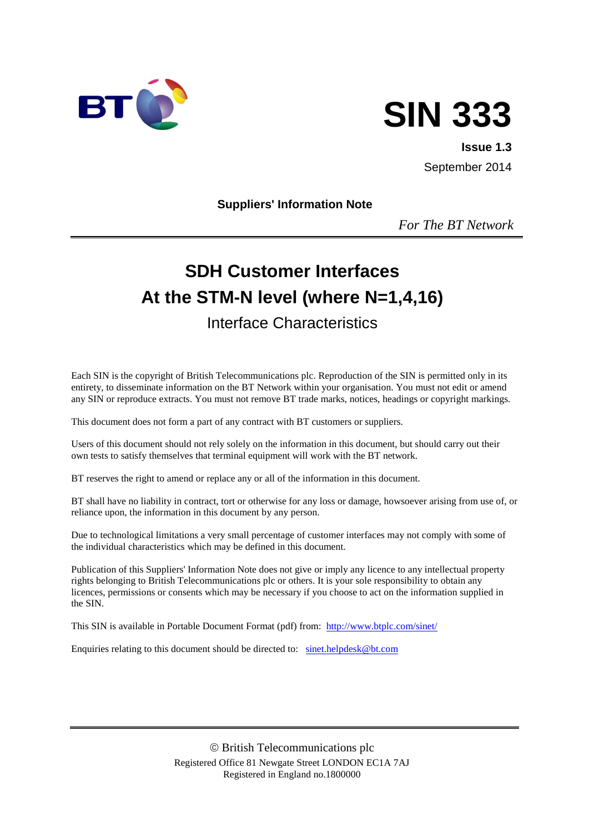



**Issue 1.3** September 2014

#### **Suppliers' Information Note**

*For The BT Network*

# **SDH Customer Interfaces At the STM-N level (where N=1,4,16)** Interface Characteristics

#### Each SIN is the copyright of British Telecommunications plc. Reproduction of the SIN is permitted only in its entirety, to disseminate information on the BT Network within your organisation. You must not edit or amend any SIN or reproduce extracts. You must not remove BT trade marks, notices, headings or copyright markings.

This document does not form a part of any contract with BT customers or suppliers.

Users of this document should not rely solely on the information in this document, but should carry out their own tests to satisfy themselves that terminal equipment will work with the BT network.

BT reserves the right to amend or replace any or all of the information in this document.

BT shall have no liability in contract, tort or otherwise for any loss or damage, howsoever arising from use of, or reliance upon, the information in this document by any person.

Due to technological limitations a very small percentage of customer interfaces may not comply with some of the individual characteristics which may be defined in this document.

Publication of this Suppliers' Information Note does not give or imply any licence to any intellectual property rights belonging to British Telecommunications plc or others. It is your sole responsibility to obtain any licences, permissions or consents which may be necessary if you choose to act on the information supplied in the SIN.

This SIN is available in Portable Document Format (pdf) from: <http://www.btplc.com/sinet/>

Enquiries relating to this document should be directed to: [sinet.helpdesk@bt.com](mailto:sinet.helpdesk@bt.com)

 British Telecommunications plc Registered Office 81 Newgate Street LONDON EC1A 7AJ Registered in England no.1800000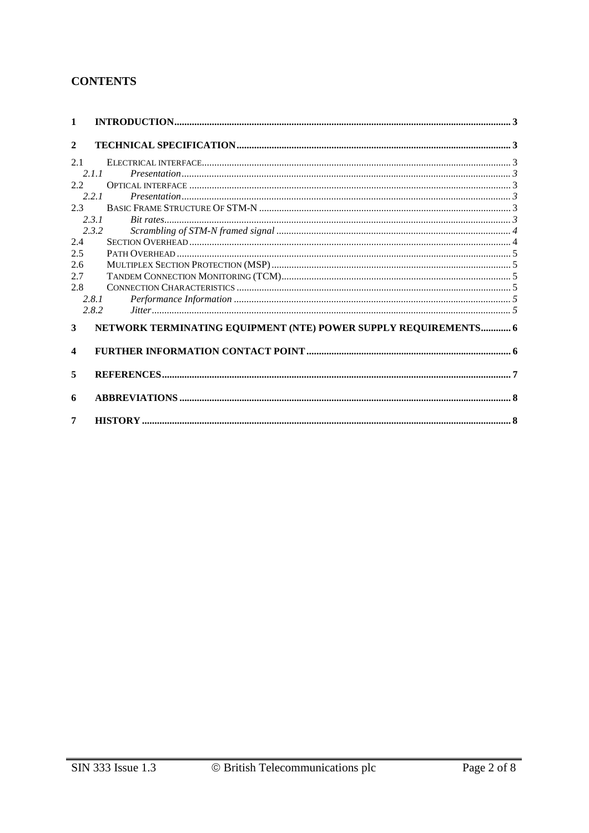## **CONTENTS**

| $\mathbf{1}$            |                                                                 |  |  |  |
|-------------------------|-----------------------------------------------------------------|--|--|--|
| $\mathbf{2}$            |                                                                 |  |  |  |
| 2.1                     |                                                                 |  |  |  |
|                         | $\textit{Presentation} \text{} \text{}$<br>2.1.1                |  |  |  |
| 2.2                     |                                                                 |  |  |  |
|                         | 2.2.1                                                           |  |  |  |
| 2.3                     |                                                                 |  |  |  |
|                         | 2.3.1                                                           |  |  |  |
|                         | 2.3.2                                                           |  |  |  |
| 2.4                     |                                                                 |  |  |  |
| 2.5                     |                                                                 |  |  |  |
| 2.6                     |                                                                 |  |  |  |
| 2.7                     |                                                                 |  |  |  |
| 2.8                     |                                                                 |  |  |  |
|                         | 2.8.1                                                           |  |  |  |
|                         | 2.8.2                                                           |  |  |  |
| 3                       | NETWORK TERMINATING EQUIPMENT (NTE) POWER SUPPLY REQUIREMENTS 6 |  |  |  |
| $\overline{\mathbf{4}}$ |                                                                 |  |  |  |
| 5                       |                                                                 |  |  |  |
| 6                       |                                                                 |  |  |  |
| 7                       |                                                                 |  |  |  |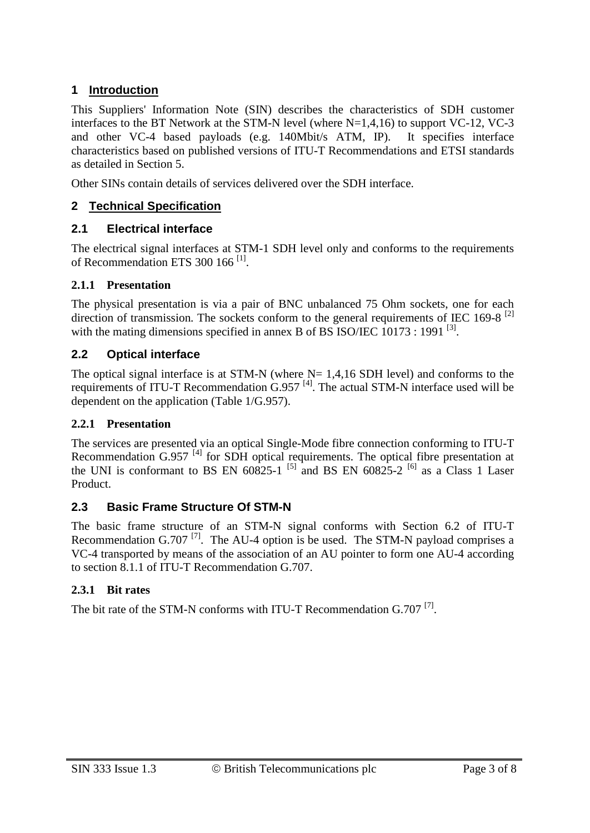# **1 Introduction**

This Suppliers' Information Note (SIN) describes the characteristics of SDH customer interfaces to the BT Network at the STM-N level (where N=1,4,16) to support VC-12, VC-3 and other VC-4 based payloads (e.g. 140Mbit/s ATM, IP). It specifies interface characteristics based on published versions of ITU-T Recommendations and ETSI standards as detailed in Section 5.

Other SINs contain details of services delivered over the SDH interface.

## **2 Technical Specification**

## **2.1 Electrical interface**

The electrical signal interfaces at STM-1 SDH level only and conforms to the requirements of Recommendation ETS 300 166<sup>[1]</sup>.

#### **2.1.1 Presentation**

The physical presentation is via a pair of BNC unbalanced 75 Ohm sockets, one for each direction of transmission. The sockets conform to the general requirements of IEC 169-8<sup>[2]</sup> with the mating dimensions specified in annex B of BS ISO/IEC  $10173 : 1991$  [3].

## **2.2 Optical interface**

The optical signal interface is at STM-N (where  $N = 1,4,16$  SDH level) and conforms to the requirements of ITU-T Recommendation G.957<sup>[4]</sup>. The actual STM-N interface used will be dependent on the application (Table 1/G.957).

#### **2.2.1 Presentation**

The services are presented via an optical Single-Mode fibre connection conforming to ITU-T Recommendation G.957<sup>[4]</sup> for SDH optical requirements. The optical fibre presentation at the UNI is conformant to BS EN  $60825-1$  [5] and BS EN  $60825-2$  [6] as a Class 1 Laser Product.

## **2.3 Basic Frame Structure Of STM-N**

The basic frame structure of an STM-N signal conforms with Section 6.2 of ITU-T Recommendation G.707<sup>[7]</sup>. The AU-4 option is be used. The STM-N payload comprises a VC-4 transported by means of the association of an AU pointer to form one AU-4 according to section 8.1.1 of ITU-T Recommendation G.707.

## **2.3.1 Bit rates**

The bit rate of the STM-N conforms with ITU-T Recommendation  $G.707$ <sup>[7]</sup>.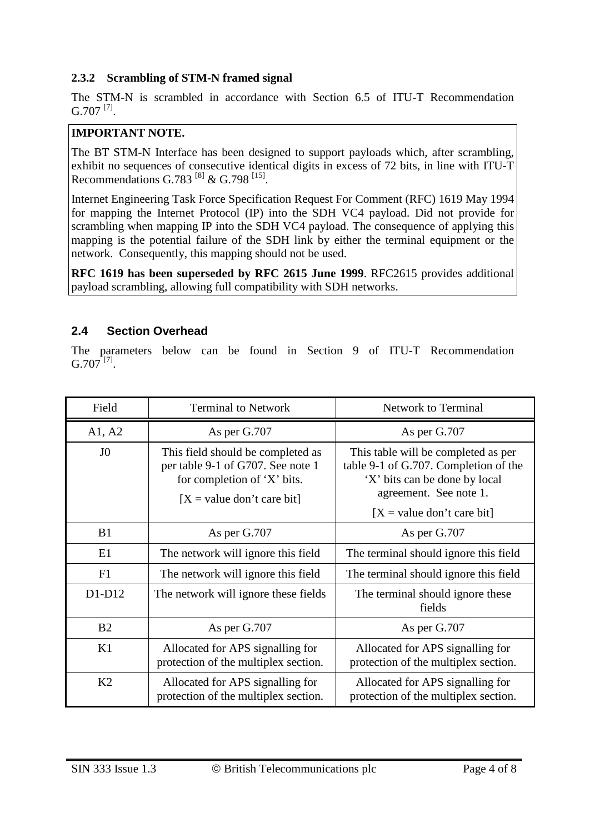#### **2.3.2 Scrambling of STM-N framed signal**

The STM-N is scrambled in accordance with Section 6.5 of ITU-T Recommendation  $G.707$ <sup>[7]</sup>.

## **IMPORTANT NOTE.**

The BT STM-N Interface has been designed to support payloads which, after scrambling, exhibit no sequences of consecutive identical digits in excess of 72 bits, in line with ITU-T Recommendations G.783  $^{[8]}$  & G.798  $^{[15]}$ .

Internet Engineering Task Force Specification Request For Comment (RFC) 1619 May 1994 for mapping the Internet Protocol (IP) into the SDH VC4 payload. Did not provide for scrambling when mapping IP into the SDH VC4 payload. The consequence of applying this mapping is the potential failure of the SDH link by either the terminal equipment or the network. Consequently, this mapping should not be used.

**RFC 1619 has been superseded by RFC 2615 June 1999**. RFC2615 provides additional payload scrambling, allowing full compatibility with SDH networks.

#### **2.4 Section Overhead**

The parameters below can be found in Section 9 of ITU-T Recommendation  $G.707^{[7]}$ .

| Field<br><b>Terminal to Network</b>                                            |                                                                                                                                       | <b>Network to Terminal</b>                                                                                                                                              |  |
|--------------------------------------------------------------------------------|---------------------------------------------------------------------------------------------------------------------------------------|-------------------------------------------------------------------------------------------------------------------------------------------------------------------------|--|
| A1, A2                                                                         | As per G.707                                                                                                                          | As per G.707                                                                                                                                                            |  |
| J <sub>0</sub>                                                                 | This field should be completed as<br>per table 9-1 of G707. See note 1<br>for completion of 'X' bits.<br>$[X = value don't care bit]$ | This table will be completed as per<br>table 9-1 of G.707. Completion of the<br>'X' bits can be done by local<br>agreement. See note 1.<br>$[X = value don't care bit]$ |  |
| B1                                                                             | As per G.707                                                                                                                          | As per G.707                                                                                                                                                            |  |
| E1                                                                             | The network will ignore this field                                                                                                    | The terminal should ignore this field                                                                                                                                   |  |
| F1                                                                             | The network will ignore this field                                                                                                    | The terminal should ignore this field                                                                                                                                   |  |
| $D1-D12$                                                                       | The network will ignore these fields                                                                                                  | The terminal should ignore these<br>fields                                                                                                                              |  |
| B <sub>2</sub><br>As per G.707                                                 |                                                                                                                                       | As per G.707                                                                                                                                                            |  |
| K1                                                                             | Allocated for APS signalling for<br>protection of the multiplex section.                                                              | Allocated for APS signalling for<br>protection of the multiplex section.                                                                                                |  |
| K2<br>Allocated for APS signalling for<br>protection of the multiplex section. |                                                                                                                                       | Allocated for APS signalling for<br>protection of the multiplex section.                                                                                                |  |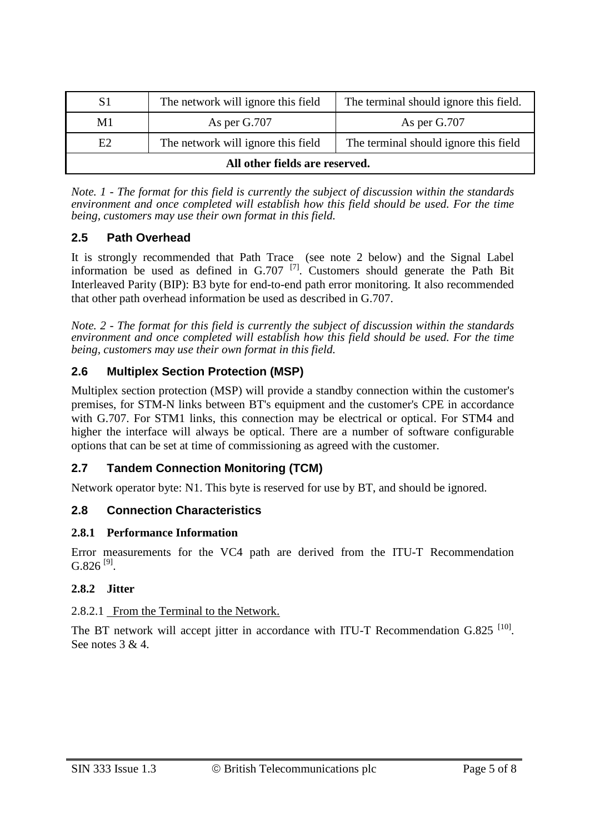| The network will ignore this field<br>S1             |  | The terminal should ignore this field. |  |  |  |
|------------------------------------------------------|--|----------------------------------------|--|--|--|
| M1<br>As per G.707                                   |  | As per G.707                           |  |  |  |
| The network will ignore this field<br>E <sub>2</sub> |  | The terminal should ignore this field  |  |  |  |
| All other fields are reserved.                       |  |                                        |  |  |  |

*Note. 1 - The format for this field is currently the subject of discussion within the standards environment and once completed will establish how this field should be used. For the time being, customers may use their own format in this field.*

#### **2.5 Path Overhead**

It is strongly recommended that Path Trace (see note 2 below) and the Signal Label information be used as defined in  $G.707$  [7]. Customers should generate the Path Bit Interleaved Parity (BIP): B3 byte for end-to-end path error monitoring. It also recommended that other path overhead information be used as described in G.707.

*Note. 2 - The format for this field is currently the subject of discussion within the standards environment and once completed will establish how this field should be used. For the time being, customers may use their own format in this field.*

#### **2.6 Multiplex Section Protection (MSP)**

Multiplex section protection (MSP) will provide a standby connection within the customer's premises, for STM-N links between BT's equipment and the customer's CPE in accordance with G.707. For STM1 links, this connection may be electrical or optical. For STM4 and higher the interface will always be optical. There are a number of software configurable options that can be set at time of commissioning as agreed with the customer.

## **2.7 Tandem Connection Monitoring (TCM)**

Network operator byte: N1. This byte is reserved for use by BT, and should be ignored.

#### **2.8 Connection Characteristics**

#### **2.8.1 Performance Information**

Error measurements for the VC4 path are derived from the ITU-T Recommendation  $G.826$ <sup>[9]</sup>.

#### **2.8.2 Jitter**

#### 2.8.2.1 From the Terminal to the Network.

The BT network will accept jitter in accordance with ITU-T Recommendation G.825<sup>[10]</sup>. See notes 3 & 4.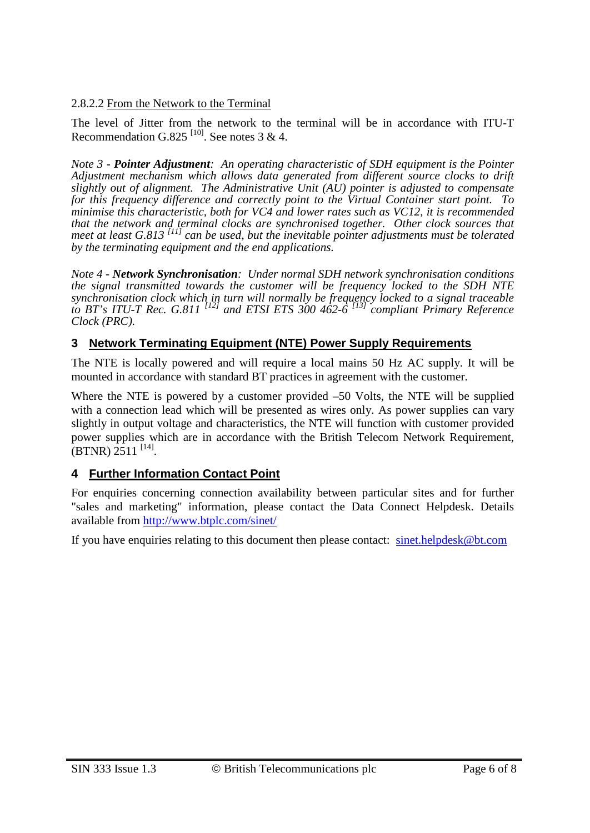2.8.2.2 From the Network to the Terminal

The level of Jitter from the network to the terminal will be in accordance with ITU-T Recommendation G.825<sup>[10]</sup>. See notes 3 & 4.

*Note 3 - Pointer Adjustment: An operating characteristic of SDH equipment is the Pointer Adjustment mechanism which allows data generated from different source clocks to drift slightly out of alignment. The Administrative Unit (AU) pointer is adjusted to compensate for this frequency difference and correctly point to the Virtual Container start point. To minimise this characteristic, both for VC4 and lower rates such as VC12, it is recommended that the network and terminal clocks are synchronised together. Other clock sources that meet at least G.813 [11] can be used, but the inevitable pointer adjustments must be tolerated by the terminating equipment and the end applications.*

*Note 4 - Network Synchronisation: Under normal SDH network synchronisation conditions the signal transmitted towards the customer will be frequency locked to the SDH NTE synchronisation clock which in turn will normally be frequency locked to a signal traceable to BT's ITU-T Rec. G.811 [12] and ETSI ETS 300 462-6 [13] compliant Primary Reference Clock (PRC).*

#### **3 Network Terminating Equipment (NTE) Power Supply Requirements**

The NTE is locally powered and will require a local mains 50 Hz AC supply. It will be mounted in accordance with standard BT practices in agreement with the customer.

Where the NTE is powered by a customer provided –50 Volts, the NTE will be supplied with a connection lead which will be presented as wires only. As power supplies can vary slightly in output voltage and characteristics, the NTE will function with customer provided power supplies which are in accordance with the British Telecom Network Requirement,  $(BTNR)$  2511<sup>[14]</sup>.

## **4 Further Information Contact Point**

For enquiries concerning connection availability between particular sites and for further "sales and marketing" information, please contact the Data Connect Helpdesk. Details available from<http://www.btplc.com/sinet/>

If you have enquiries relating to this document then please contact: [sinet.helpdesk@bt.com](mailto:sinet.helpdesk@bt.com)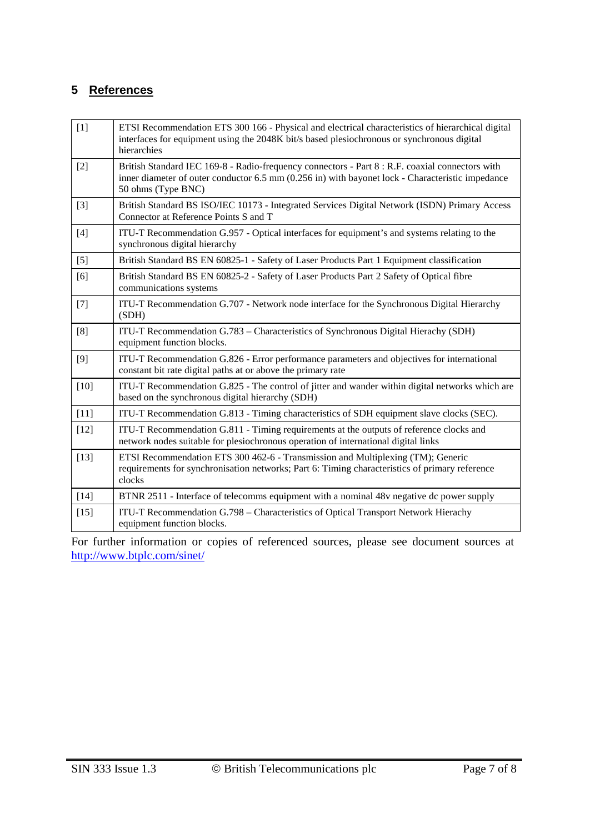# **5 References**

| $[1]$  | ETSI Recommendation ETS 300 166 - Physical and electrical characteristics of hierarchical digital<br>interfaces for equipment using the 2048K bit/s based plesiochronous or synchronous digital<br>hierarchies            |
|--------|---------------------------------------------------------------------------------------------------------------------------------------------------------------------------------------------------------------------------|
| $[2]$  | British Standard IEC 169-8 - Radio-frequency connectors - Part 8 : R.F. coaxial connectors with<br>inner diameter of outer conductor 6.5 mm (0.256 in) with bayonet lock - Characteristic impedance<br>50 ohms (Type BNC) |
| $[3]$  | British Standard BS ISO/IEC 10173 - Integrated Services Digital Network (ISDN) Primary Access<br>Connector at Reference Points S and T                                                                                    |
| $[4]$  | ITU-T Recommendation G.957 - Optical interfaces for equipment's and systems relating to the<br>synchronous digital hierarchy                                                                                              |
| $[5]$  | British Standard BS EN 60825-1 - Safety of Laser Products Part 1 Equipment classification                                                                                                                                 |
| [6]    | British Standard BS EN 60825-2 - Safety of Laser Products Part 2 Safety of Optical fibre<br>communications systems                                                                                                        |
| $[7]$  | ITU-T Recommendation G.707 - Network node interface for the Synchronous Digital Hierarchy<br>(SDH)                                                                                                                        |
| [8]    | ITU-T Recommendation G.783 – Characteristics of Synchronous Digital Hierachy (SDH)<br>equipment function blocks.                                                                                                          |
| $[9]$  | ITU-T Recommendation G.826 - Error performance parameters and objectives for international<br>constant bit rate digital paths at or above the primary rate                                                                |
| $[10]$ | ITU-T Recommendation G.825 - The control of jitter and wander within digital networks which are<br>based on the synchronous digital hierarchy (SDH)                                                                       |
| $[11]$ | ITU-T Recommendation G.813 - Timing characteristics of SDH equipment slave clocks (SEC).                                                                                                                                  |
| $[12]$ | ITU-T Recommendation G.811 - Timing requirements at the outputs of reference clocks and<br>network nodes suitable for plesiochronous operation of international digital links                                             |
| $[13]$ | ETSI Recommendation ETS 300 462-6 - Transmission and Multiplexing (TM); Generic<br>requirements for synchronisation networks; Part 6: Timing characteristics of primary reference<br>clocks                               |
| $[14]$ | BTNR 2511 - Interface of telecomms equipment with a nominal 48v negative dc power supply                                                                                                                                  |
| $[15]$ | ITU-T Recommendation G.798 – Characteristics of Optical Transport Network Hierachy<br>equipment function blocks.                                                                                                          |

For further information or copies of referenced sources, please see document sources at <http://www.btplc.com/sinet/>